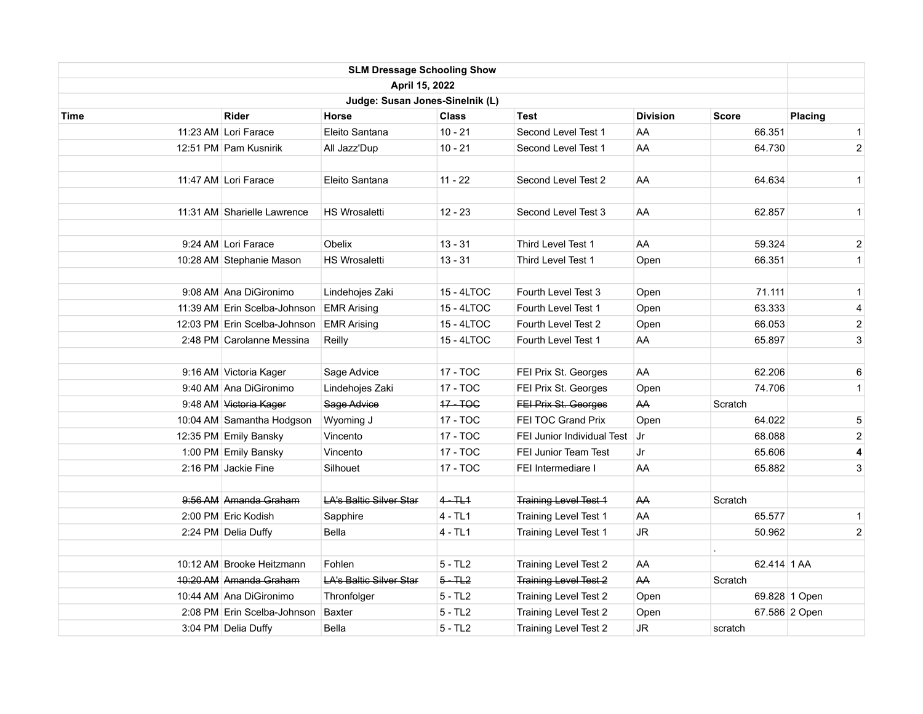|                                 |                              | <b>SLM Dressage Schooling Show</b> |              |                              |                 |              |                |  |  |
|---------------------------------|------------------------------|------------------------------------|--------------|------------------------------|-----------------|--------------|----------------|--|--|
|                                 |                              | April 15, 2022                     |              |                              |                 |              |                |  |  |
| Judge: Susan Jones-Sinelnik (L) |                              |                                    |              |                              |                 |              |                |  |  |
| <b>Time</b>                     | <b>Rider</b>                 | Horse                              | <b>Class</b> | Test                         | <b>Division</b> | <b>Score</b> | Placing        |  |  |
|                                 | 11:23 AM Lori Farace         | Eleito Santana                     | $10 - 21$    | Second Level Test 1          | AA              | 66.351       | $\mathbf{1}$   |  |  |
|                                 | 12:51 PM Pam Kusnirik        | All Jazz'Dup                       | $10 - 21$    | Second Level Test 1          | AA              | 64.730       | $\overline{c}$ |  |  |
|                                 |                              |                                    |              |                              |                 |              |                |  |  |
|                                 | 11:47 AM Lori Farace         | Eleito Santana                     | 11 - 22      | Second Level Test 2          | AA              | 64.634       | $\mathbf{1}$   |  |  |
|                                 | 11:31 AM Sharielle Lawrence  | <b>HS Wrosaletti</b>               | $12 - 23$    | Second Level Test 3          | AA              | 62.857       | $\mathbf{1}$   |  |  |
|                                 | 9:24 AM Lori Farace          | Obelix                             | $13 - 31$    | Third Level Test 1           | AA              | 59.324       | $\overline{c}$ |  |  |
|                                 | 10:28 AM Stephanie Mason     | <b>HS Wrosaletti</b>               | $13 - 31$    | Third Level Test 1           | Open            | 66.351       | $\mathbf{1}$   |  |  |
|                                 | 9:08 AM Ana DiGironimo       | Lindehojes Zaki                    | 15 - 4LTOC   | Fourth Level Test 3          | Open            | 71.111       | $\mathbf{1}$   |  |  |
|                                 | 11:39 AM Erin Scelba-Johnson | <b>EMR Arising</b>                 | 15 - 4LTOC   | Fourth Level Test 1          | Open            | 63.333       | 4              |  |  |
|                                 | 12:03 PM Erin Scelba-Johnson | <b>EMR Arising</b>                 | 15 - 4LTOC   | Fourth Level Test 2          | Open            | 66.053       | $\overline{2}$ |  |  |
|                                 | 2.48 PM Carolanne Messina    | Reilly                             | 15 - 4LTOC   | Fourth Level Test 1          | AA              | 65.897       | 3              |  |  |
|                                 | 9:16 AM Victoria Kager       | Sage Advice                        | 17 - TOC     | FEI Prix St. Georges         | AA              | 62.206       | 6              |  |  |
|                                 | 9:40 AM Ana DiGironimo       | Lindehojes Zaki                    | 17 - TOC     | FEI Prix St. Georges         | Open            | 74.706       | $\mathbf{1}$   |  |  |
|                                 | 9:48 AM Victoria Kager       | Sage Advice                        | 17-TOG       | <b>FEI Prix St. Georges</b>  | AA              | Scratch      |                |  |  |
|                                 | 10:04 AM Samantha Hodgson    | Wyoming J                          | 17 - TOC     | FEI TOC Grand Prix           | Open            | 64.022       | 5              |  |  |
|                                 | 12:35 PM Emily Bansky        | Vincento                           | 17 - TOC     | FEI Junior Individual Test   | l Jr            | 68.088       | $\overline{2}$ |  |  |
|                                 | 1:00 PM Emily Bansky         | Vincento                           | 17 - TOC     | <b>FEI Junior Team Test</b>  | Jr              | 65.606       | 4              |  |  |
|                                 | 2:16 PM Jackie Fine          | Silhouet                           | 17 - TOC     | FEI Intermediare I           | AA              | 65.882       | 3              |  |  |
|                                 | 9:56 AM Amanda Graham        | <b>LA's Baltic Silver Star</b>     | $4 - TL1$    | <b>Training Level Test 1</b> | AA              | Scratch      |                |  |  |
|                                 | 2:00 PM Eric Kodish          | Sapphire                           | $4 - TL1$    | Training Level Test 1        | AA              | 65.577       | $\mathbf{1}$   |  |  |
|                                 | 2:24 PM Delia Duffy          | Bella                              | 4 - TL1      | Training Level Test 1        | <b>JR</b>       | 50.962       | $\overline{2}$ |  |  |
|                                 | 10:12 AM Brooke Heitzmann    | Fohlen                             | $5 - TL2$    | Training Level Test 2        | AA              | 62.414 1 AA  |                |  |  |
|                                 | 10:20 AM Amanda Graham       | <b>LA's Baltic Silver Star</b>     | $5 - TL2$    | <b>Training Level Test 2</b> | AA              | Scratch      |                |  |  |
|                                 | 10:44 AM Ana DiGironimo      | Thronfolger                        | $5 - TL2$    | Training Level Test 2        | Open            |              | 69.828 1 Open  |  |  |
|                                 | 2.08 PM Erin Scelba-Johnson  | <b>Baxter</b>                      | $5 - TL2$    | Training Level Test 2        | Open            |              | 67.586 2 Open  |  |  |
|                                 | 3:04 PM Delia Duffy          | Bella                              | $5 - TL2$    | Training Level Test 2        | JR              | scratch      |                |  |  |